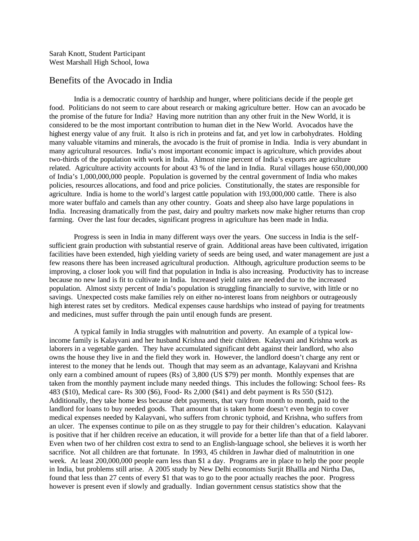## Benefits of the Avocado in India

India is a democratic country of hardship and hunger, where politicians decide if the people get food. Politicians do not seem to care about research or making agriculture better. How can an avocado be the promise of the future for India? Having more nutrition than any other fruit in the New World, it is considered to be the most important contribution to human diet in the New World. Avocados have the highest energy value of any fruit. It also is rich in proteins and fat, and yet low in carbohydrates. Holding many valuable vitamins and minerals, the avocado is the fruit of promise in India. India is very abundant in many agricultural resources. India's most important economic impact is agriculture, which provides about two-thirds of the population with work in India. Almost nine percent of India's exports are agriculture related. Agriculture activity accounts for about 43 % of the land in India. Rural villages house 650,000,000 of India's 1,000,000,000 people. Population is governed by the central government of India who makes policies, resources allocations, and food and price policies. Constitutionally, the states are responsible for agriculture. India is home to the world's largest cattle population with 193,000,000 cattle. There is also more water buffalo and camels than any other country. Goats and sheep also have large populations in India. Increasing dramatically from the past, dairy and poultry markets now make higher returns than crop farming. Over the last four decades, significant progress in agriculture has been made in India.

Progress is seen in India in many different ways over the years. One success in India is the selfsufficient grain production with substantial reserve of grain. Additional areas have been cultivated, irrigation facilities have been extended, high yielding variety of seeds are being used, and water management are just a few reasons there has been increased agricultural production. Although, agriculture production seems to be improving, a closer look you will find that population in India is also increasing. Productivity has to increase because no new land is fit to cultivate in India. Increased yield rates are needed due to the increased population. Almost sixty percent of India's population is struggling financially to survive, with little or no savings. Unexpected costs make families rely on either no-interest loans from neighbors or outrageously high interest rates set by creditors. Medical expenses cause hardships who instead of paying for treatments and medicines, must suffer through the pain until enough funds are present.

A typical family in India struggles with malnutrition and poverty. An example of a typical lowincome family is Kalayvani and her husband Krishna and their children. Kalayvani and Krishna work as laborers in a vegetable garden. They have accumulated significant debt against their landlord, who also owns the house they live in and the field they work in. However, the landlord doesn't charge any rent or interest to the money that he lends out. Though that may seem as an advantage, Kalayvani and Krishna only earn a combined amount of rupees (Rs) of 3,800 (US \$79) per month. Monthly expenses that are taken from the monthly payment include many needed things. This includes the following: School fees- Rs 483 (\$10), Medical care- Rs 300 (\$6), Food- Rs 2,000 (\$41) and debt payment is Rs 550 (\$12). Additionally, they take home less because debt payments, that vary from month to month, paid to the landlord for loans to buy needed goods. That amount that is taken home doesn't even begin to cover medical expenses needed by Kalayvani, who suffers from chronic typhoid, and Krishna, who suffers from an ulcer. The expenses continue to pile on as they struggle to pay for their children's education. Kalayvani is positive that if her children receive an education, it will provide for a better life than that of a field laborer. Even when two of her children cost extra to send to an English-language school, she believes it is worth her sacrifice. Not all children are that fortunate. In 1993, 45 children in Jawhar died of malnutrition in one week. At least 200,000,000 people earn less than \$1 a day. Programs are in place to help the poor people in India, but problems still arise. A 2005 study by New Delhi economists Surjit Bhallla and Nirtha Das, found that less than 27 cents of every \$1 that was to go to the poor actually reaches the poor. Progress however is present even if slowly and gradually. Indian government census statistics show that the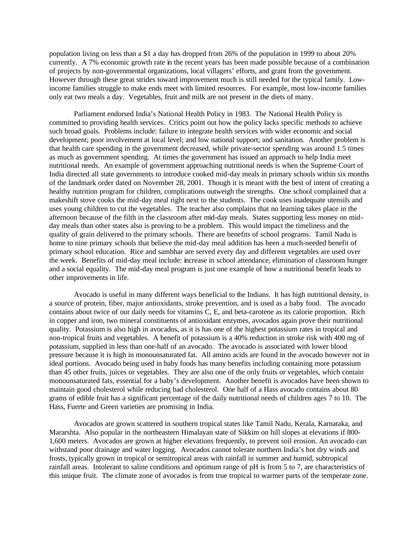population living on less than a \$1 a day has dropped from 26% of the population in 1999 to about 20% currently. A 7% economic growth rate in the recent years has been made possible because of a combination of projects by non-governmental organizations, local villagers' efforts, and grant from the government. However through these great strides toward improvement much is still needed for the typical family. Lowincome families struggle to make ends meet with limited resources. For example, most low-income families only eat two meals a day. Vegetables, fruit and milk are not present in the diets of many.

Parliament endorsed India's National Health Policy in 1983. The National Health Policy is committed to providing health services. Critics point out how the policy lacks specific methods to achieve such broad goals. Problems include: failure to integrate health services with wider economic and social development; poor involvement at local level; and low national support; and sanitation. Another problem is that health care spending in the government decreased, while private-sector spending was around 1.5 times as much as government spending. At times the government has issued an approach to help India meet nutritional needs. An example of government approaching nutritional needs is when the Supreme Court of India directed all state governments to introduce cooked mid-day meals in primary schools within six months of the landmark order dated on November 28, 2001. Though it is meant with the best of intent of creating a healthy nutrition program for children, complications outweigh the strengths. One school complained that a makeshift stove cooks the mid-day meal right next to the students. The cook uses inadequate utensils and uses young children to cut the vegetables. The teacher also complains that no learning takes place in the afternoon because of the filth in the classroom after mid-day meals. States supporting less money on midday meals than other states also is proving to be a problem. This would impact the timeliness and the quality of grain delivered to the primary schools. There are benefits of school programs. Tamil Nadu is home to nine primary schools that believe the mid-day meal addition has been a much-needed benefit of primary school education. Rice and sambhar are served every day and different vegetables are used over the week. Benefits of mid-day meal include: increase in school attendance, elimination of classroom hunger and a social equality. The mid-day meal program is just one example of how a nutritional benefit leads to other improvements in life.

Avocado is useful in many different ways beneficial to the Indians. It has high nutritional density, is a source of protein, fiber, major antioxidants, stroke prevention, and is used as a baby food. The avocado contains about twice of our daily needs for vitamins C, E, and beta-carotene as its calorie proportion. Rich in copper and iron, two mineral constituents of antioxidant enzymes, avocados again prove their nutritional quality. Potassium is also high in avocados, as it is has one of the highest potassium rates in tropical and non-tropical fruits and vegetables. A benefit of potassium is a 40% reduction in stroke risk with 400 mg of potassium, supplied in less than one-half of an avocado. The avocado is associated with lower blood pressure because it is high in monounsaturated fat. All amino acids are found in the avocado however not in ideal portions. Avocado being used in baby foods has many benefits including containing more potassium than 45 other fruits, juices or vegetables. They are also one of the only fruits or vegetables, which contain monounsaturated fats, essential for a baby's development. Another benefit is avocados have been shown to maintain good cholesterol while reducing bad cholesterol. One half of a Hass avocado contains about 80 grams of edible fruit has a significant percentage of the daily nutritional needs of children ages 7 to 10. The Hass, Fuerte and Green varieties are promising in India.

Avocados are grown scattered in southern tropical states like Tamil Nadu, Kerala, Karnataka, and Mararshta. Also popular in the northeastern Himalayan state of Sikkim on hill slopes at elevations if 800- 1,600 meters. Avocados are grown at higher elevations frequently, to prevent soil erosion. An avocado can withstand poor drainage and water logging. Avocados cannot tolerate northern India's hot dry winds and frosts, typically grown in tropical or semitropical areas with rainfall in summer and humid, subtropical rainfall areas. Intolerant to saline conditions and optimum range of pH is from 5 to 7, are characteristics of this unique fruit. The climate zone of avocados is from true tropical to warmer parts of the temperate zone.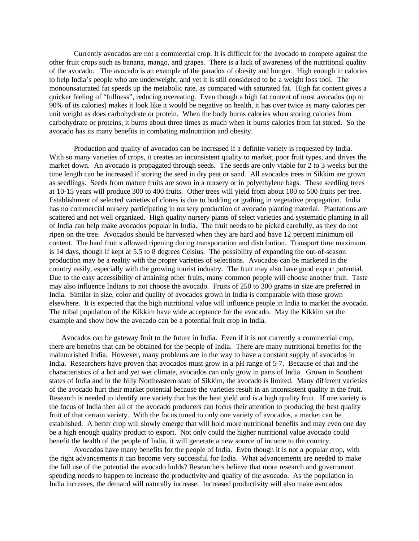Currently avocados are not a commercial crop. It is difficult for the avocado to compete against the other fruit crops such as banana, mango, and grapes. There is a lack of awareness of the nutritional quality of the avocado. The avocado is an example of the paradox of obesity and hunger. High enough in calories to help India's people who are underweight, and yet it is still considered to be a weight loss tool. The monounsaturated fat speeds up the metabolic rate, as compared with saturated fat. High fat content gives a quicker feeling of "fullness", reducing overeating. Even though a high fat content of most avocados (up to 90% of its calories) makes it look like it would be negative on health, it has over twice as many calories per unit weight as does carbohydrate or protein. When the body burns calories when storing calories from carbohydrate or proteins, it burns about three times as much when it burns calories from fat stored. So the avocado has its many benefits in combating malnutrition and obesity.

Production and quality of avocados can be increased if a definite variety is requested by India. With so many varieties of crops, it creates an inconsistent quality to market, poor fruit types, and drives the market down. An avocado is propagated through seeds. The seeds are only viable for 2 to 3 weeks but the time length can be increased if storing the seed in dry peat or sand. All avocados trees in Sikkim are grown as seedlings. Seeds from mature fruits are sown in a nursery or in polyethylene bags. These seedling trees at 10-15 years will produce 300 to 400 fruits. Other trees will yield from about 100 to 500 fruits per tree. Establishment of selected varieties of clones is due to budding or grafting in vegetative propagation. India has no commercial nursery participating in nursery production of avocado planting material. Plantations are scattered and not well organized. High quality nursery plants of select varieties and systematic planting in all of India can help make avocados popular in India. The fruit needs to be picked carefully, as they do not ripen on the tree. Avocados should be harvested when they are hard and have 12 percent minimum oil content. The hard fruit s allowed ripening during transportation and distribution. Transport time maximum is 14 days, though if kept at 5.5 to 8 degrees Celsius. The possibility of expanding the out-of-season production may be a reality with the proper varieties of selections. Avocados can be marketed in the country easily, especially with the growing tourist industry. The fruit may also have good export potential. Due to the easy accessibility of attaining other fruits, many common people will choose another fruit. Taste may also influence Indians to not choose the avocado. Fruits of 250 to 300 grams in size are preferred in India. Similar in size, color and quality of avocados grown in India is comparable with those grown elsewhere. It is expected that the high nutritional value will influence people in India to market the avocado. The tribal population of the Kikkim have wide acceptance for the avocado. May the Kikkim set the example and show how the avocado can be a potential fruit crop in India.

 Avocados can be gateway fruit to the future in India. Even if it is not currently a commercial crop, there are benefits that can be obtained for the people of India. There are many nutritional benefits for the malnourished India. However, many problems are in the way to have a constant supply of avocados in India. Researchers have proven that avocados must grow in a pH range of 5-7. Because of that and the characteristics of a hot and yet wet climate, avocados can only grow in parts of India. Grown in Southern states of India and in the hilly Northeastern state of Sikkim, the avocado is limited. Many different varieties of the avocado hurt their market potential because the varieties result in an inconsistent quality in the fruit. Research is needed to identify one variety that has the best yield and is a high quality fruit. If one variety is the focus of India then all of the avocado producers can focus their attention to producing the best quality fruit of that certain variety. With the focus tuned to only one variety of avocados, a market can be established. A better crop will slowly emerge that will hold more nutritional benefits and may even one day be a high enough quality product to export. Not only could the higher nutritional value avocado could benefit the health of the people of India, it will generate a new source of income to the country.

Avocados have many benefits for the people of India. Even though it is not a popular crop, with the right advancements it can become very successful for India. What advancements are needed to make the full use of the potential the avocado holds? Researchers believe that more research and government spending needs to happen to increase the productivity and quality of the avocado. As the population in India increases, the demand will naturally increase. Increased productivity will also make avocados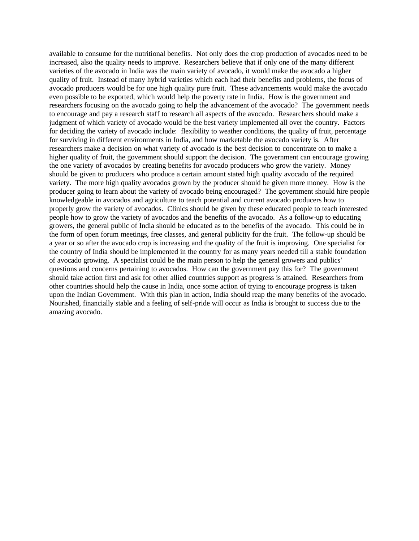available to consume for the nutritional benefits. Not only does the crop production of avocados need to be increased, also the quality needs to improve. Researchers believe that if only one of the many different varieties of the avocado in India was the main variety of avocado, it would make the avocado a higher quality of fruit. Instead of many hybrid varieties which each had their benefits and problems, the focus of avocado producers would be for one high quality pure fruit. These advancements would make the avocado even possible to be exported, which would help the poverty rate in India. How is the government and researchers focusing on the avocado going to help the advancement of the avocado? The government needs to encourage and pay a research staff to research all aspects of the avocado. Researchers should make a judgment of which variety of avocado would be the best variety implemented all over the country. Factors for deciding the variety of avocado include: flexibility to weather conditions, the quality of fruit, percentage for surviving in different environments in India, and how marketable the avocado variety is. After researchers make a decision on what variety of avocado is the best decision to concentrate on to make a higher quality of fruit, the government should support the decision. The government can encourage growing the one variety of avocados by creating benefits for avocado producers who grow the variety. Money should be given to producers who produce a certain amount stated high quality avocado of the required variety. The more high quality avocados grown by the producer should be given more money. How is the producer going to learn about the variety of avocado being encouraged? The government should hire people knowledgeable in avocados and agriculture to teach potential and current avocado producers how to properly grow the variety of avocados. Clinics should be given by these educated people to teach interested people how to grow the variety of avocados and the benefits of the avocado. As a follow-up to educating growers, the general public of India should be educated as to the benefits of the avocado. This could be in the form of open forum meetings, free classes, and general publicity for the fruit. The follow-up should be a year or so after the avocado crop is increasing and the quality of the fruit is improving. One specialist for the country of India should be implemented in the country for as many years needed till a stable foundation of avocado growing. A specialist could be the main person to help the general growers and publics' questions and concerns pertaining to avocados. How can the government pay this for? The government should take action first and ask for other allied countries support as progress is attained. Researchers from other countries should help the cause in India, once some action of trying to encourage progress is taken upon the Indian Government. With this plan in action, India should reap the many benefits of the avocado. Nourished, financially stable and a feeling of self-pride will occur as India is brought to success due to the amazing avocado.